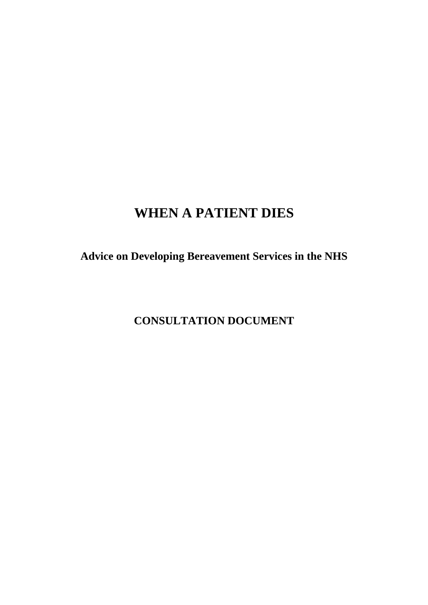# **WHEN A PATIENT DIES**

**Advice on Developing Bereavement Services in the NHS** 

**CONSULTATION DOCUMENT**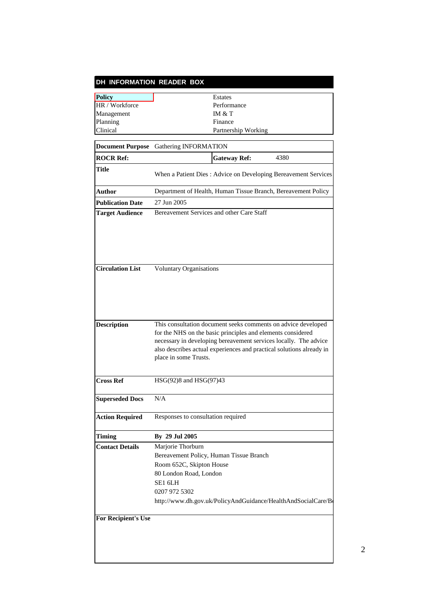| DH INFORMATION READER BOX  |                                                                                                                                                                                                                                                                                                   |
|----------------------------|---------------------------------------------------------------------------------------------------------------------------------------------------------------------------------------------------------------------------------------------------------------------------------------------------|
| <b>Policy</b>              | Estates                                                                                                                                                                                                                                                                                           |
| HR / Workforce             | Performance                                                                                                                                                                                                                                                                                       |
| Management                 | IM & T                                                                                                                                                                                                                                                                                            |
| Planning                   | Finance                                                                                                                                                                                                                                                                                           |
| Clinical                   | Partnership Working                                                                                                                                                                                                                                                                               |
| <b>Document Purpose</b>    | Gathering INFORMATION                                                                                                                                                                                                                                                                             |
| <b>ROCR Ref:</b>           | 4380<br><b>Gateway Ref:</b>                                                                                                                                                                                                                                                                       |
| Title                      | When a Patient Dies: Advice on Developing Bereavement Services                                                                                                                                                                                                                                    |
| Author                     | Department of Health, Human Tissue Branch, Bereavement Policy                                                                                                                                                                                                                                     |
| <b>Publication Date</b>    | 27 Jun 2005                                                                                                                                                                                                                                                                                       |
| <b>Target Audience</b>     | Bereavement Services and other Care Staff                                                                                                                                                                                                                                                         |
|                            |                                                                                                                                                                                                                                                                                                   |
| <b>Circulation List</b>    | <b>Voluntary Organisations</b>                                                                                                                                                                                                                                                                    |
| <b>Description</b>         | This consultation document seeks comments on advice developed<br>for the NHS on the basic principles and elements considered<br>necessary in developing bereavement services locally. The advice<br>also describes actual experiences and practical solutions already in<br>place in some Trusts. |
| <b>Cross Ref</b>           | HSG(92)8 and HSG(97)43                                                                                                                                                                                                                                                                            |
| <b>Superseded Docs</b>     | N/A                                                                                                                                                                                                                                                                                               |
| <b>Action Required</b>     | Responses to consultation required                                                                                                                                                                                                                                                                |
| <b>Timing</b>              | By 29 Jul 2005                                                                                                                                                                                                                                                                                    |
| <b>Contact Details</b>     | Marjorie Thorburn                                                                                                                                                                                                                                                                                 |
|                            | Bereavement Policy, Human Tissue Branch                                                                                                                                                                                                                                                           |
|                            | Room 652C, Skipton House                                                                                                                                                                                                                                                                          |
|                            | 80 London Road, London                                                                                                                                                                                                                                                                            |
|                            | SE1 6LH                                                                                                                                                                                                                                                                                           |
|                            | 0207 972 5302                                                                                                                                                                                                                                                                                     |
|                            | http://www.dh.gov.uk/PolicyAndGuidance/HealthAndSocialCare/Bo                                                                                                                                                                                                                                     |
| <b>For Recipient's Use</b> |                                                                                                                                                                                                                                                                                                   |
|                            |                                                                                                                                                                                                                                                                                                   |
|                            |                                                                                                                                                                                                                                                                                                   |
|                            |                                                                                                                                                                                                                                                                                                   |
|                            |                                                                                                                                                                                                                                                                                                   |
|                            |                                                                                                                                                                                                                                                                                                   |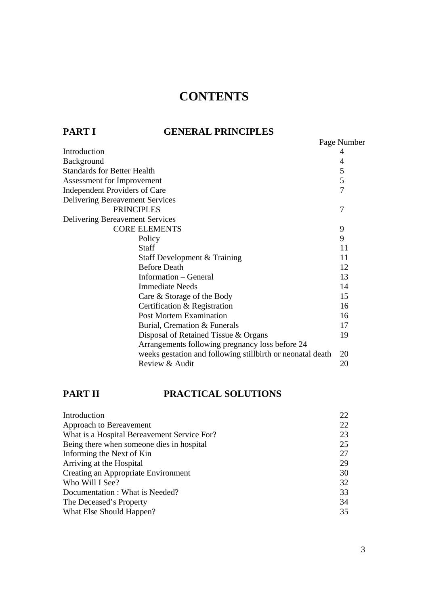# **CONTENTS**

## **PART I GENERAL PRINCIPLES**

| FAR1 1                                 | GENERAL FRINCIFLES                                          |                |
|----------------------------------------|-------------------------------------------------------------|----------------|
|                                        |                                                             | Page Number    |
| Introduction                           |                                                             | 4              |
| Background                             |                                                             | 4              |
| <b>Standards for Better Health</b>     |                                                             | 5              |
| Assessment for Improvement             |                                                             | 5              |
| <b>Independent Providers of Care</b>   |                                                             | $\overline{7}$ |
| <b>Delivering Bereavement Services</b> |                                                             |                |
|                                        | <b>PRINCIPLES</b>                                           | 7              |
| <b>Delivering Bereavement Services</b> |                                                             |                |
| <b>CORE ELEMENTS</b>                   |                                                             | 9              |
|                                        | Policy                                                      | 9              |
|                                        | Staff                                                       | 11             |
|                                        | Staff Development & Training                                | 11             |
|                                        | <b>Before Death</b>                                         | 12             |
|                                        | Information – General                                       | 13             |
|                                        | <b>Immediate Needs</b>                                      | 14             |
|                                        | Care & Storage of the Body                                  | 15             |
|                                        | Certification & Registration                                | 16             |
|                                        | <b>Post Mortem Examination</b>                              | 16             |
|                                        | Burial, Cremation & Funerals                                | 17             |
|                                        | Disposal of Retained Tissue & Organs                        | 19             |
|                                        | Arrangements following pregnancy loss before 24             |                |
|                                        | weeks gestation and following still birth or neonatal death | 20             |
|                                        | Review & Audit                                              | 20             |

# **PART II PRACTICAL SOLUTIONS**

| 22 |
|----|
| 22 |
| 23 |
| 25 |
| 27 |
| 29 |
| 30 |
| 32 |
| 33 |
| 34 |
| 35 |
|    |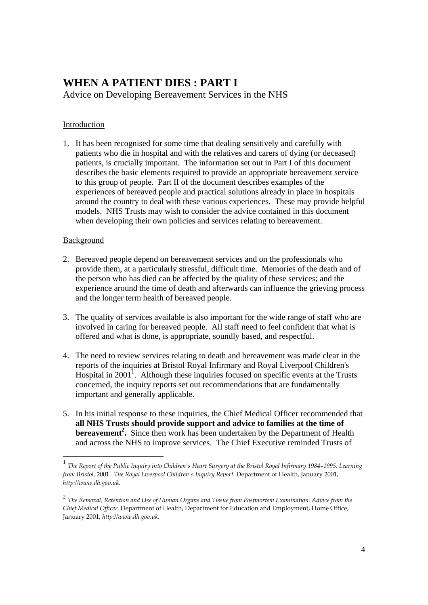# **WHEN A PATIENT DIES : PART I**  Advice on Developing Bereavement Services in the NHS

#### Introduction

1. It has been recognised for some time that dealing sensitively and carefully with patients who die in hospital and with the relatives and carers of dying (or deceased) patients, is crucially important. The information set out in Part I of this document describes the basic elements required to provide an appropriate bereavement service to this group of people. Part II of the document describes examples of the experiences of bereaved people and practical solutions already in place in hospitals around the country to deal with these various experiences. These may provide helpful models. NHS Trusts may wish to consider the advice contained in this document when developing their own policies and services relating to bereavement.

#### Background

- 2. Bereaved people depend on bereavement services and on the professionals who provide them, at a particularly stressful, difficult time. Memories of the death and of the person who has died can be affected by the quality of these services; and the experience around the time of death and afterwards can influence the grieving process and the longer term health of bereaved people.
- 3. The quality of services available is also important for the wide range of staff who are involved in caring for bereaved people. All staff need to feel confident that what is offered and what is done, is appropriate, soundly based, and respectful.
- 4. The need to review services relating to death and bereavement was made clear in the reports of the inquiries at Bristol Royal Infirmary and Royal Liverpool Children's Hospital in  $2001<sup>1</sup>$ . Although these inquiries focused on specific events at the Trusts concerned, the inquiry reports set out recommendations that are fundamentally important and generally applicable.
- 5. In his initial response to these inquiries, the Chief Medical Officer recommended that **all NHS Trusts should provide support and advice to families at the time of bereavement<sup>2</sup>.** Since then work has been undertaken by the Department of Health and across the NHS to improve services. The Chief Executive reminded Trusts of

<sup>1</sup> *The Report of the Public Inquiry into Children's Heart Surgery at the Bristol Royal Infirmary 1984–1995: Learning from Bristol.* 2001. *The Royal Liverpool Children's Inquiry Report*. Department of Health, January 2001, *http://www.dh.gov.uk.*

<sup>2</sup> *The Removal, Retention and Use of Human Organs and Tissue from Postmortem Examination. Advice from the Chief Medical Officer*. Department of Health, Department for Education and Employment, Home Office, January 2001, *http://www.dh.gov.uk.*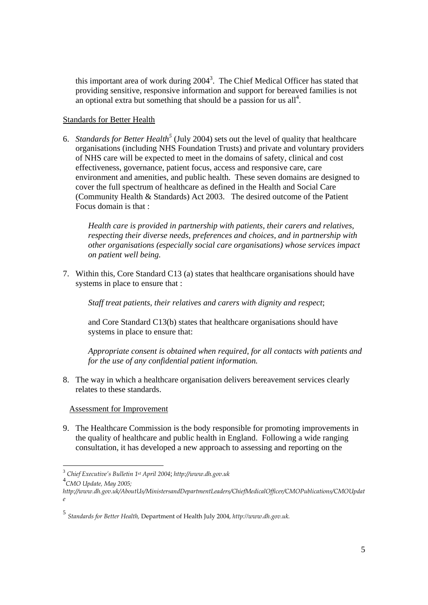this important area of work during  $2004<sup>3</sup>$ . The Chief Medical Officer has stated that providing sensitive, responsive information and support for bereaved families is not an optional extra but something that should be a passion for us all<sup>4</sup>.

#### Standards for Better Health

6. *Standards for Better Health<sup>5</sup>* (July 2004) sets out the level of quality that healthcare organisations (including NHS Foundation Trusts) and private and voluntary providers of NHS care will be expected to meet in the domains of safety, clinical and cost effectiveness, governance, patient focus, access and responsive care, care environment and amenities, and public health. These seven domains are designed to cover the full spectrum of healthcare as defined in the Health and Social Care (Community Health & Standards) Act 2003. The desired outcome of the Patient Focus domain is that :

*Health care is provided in partnership with patients, their carers and relatives, respecting their diverse needs, preferences and choices, and in partnership with other organisations (especially social care organisations) whose services impact on patient well being.* 

7. Within this, Core Standard C13 (a) states that healthcare organisations should have systems in place to ensure that :

 *Staff treat patients, their relatives and carers with dignity and respect*;

 and Core Standard C13(b) states that healthcare organisations should have systems in place to ensure that:

 *Appropriate consent is obtained when required, for all contacts with patients and for the use of any confidential patient information.* 

8. The way in which a healthcare organisation delivers bereavement services clearly relates to these standards.

Assessment for Improvement

9. The Healthcare Commission is the body responsible for promoting improvements in the quality of healthcare and public health in England. Following a wide ranging consultation, it has developed a new approach to assessing and reporting on the

<sup>3</sup> *Chief Executive's Bulletin 1st April 2004*; *http://www.dh.gov.uk*

<sup>4</sup> *CMO Update, May 2005;* 

*http://www.dh.gov.uk/AboutUs/MinistersandDepartmentLeaders/ChiefMedicalOfficer/CMOPublications/CMOUpdat e* 

<sup>5</sup> *Standards for Better Health,* Department of Health July 2004, *http://www.dh.gov.uk.*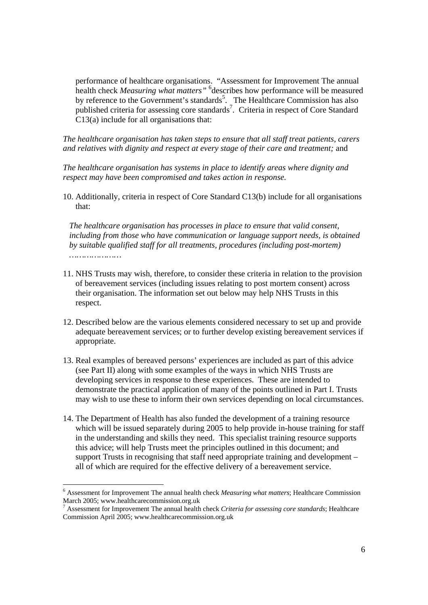performance of healthcare organisations. "Assessment for Improvement The annual health check *Measuring what matters"* <sup>6</sup> describes how performance will be measured by reference to the Government's standards<sup>5</sup>. The Healthcare Commission has also published criteria for assessing core standards<sup>7</sup>. Criteria in respect of Core Standard C13(a) include for all organisations that:

*The healthcare organisation has taken steps to ensure that all staff treat patients, carers and relatives with dignity and respect at every stage of their care and treatment;* and

*The healthcare organisation has systems in place to identify areas where dignity and respect may have been compromised and takes action in response.*

10. Additionally, criteria in respect of Core Standard C13(b) include for all organisations that:

*The healthcare organisation has processes in place to ensure that valid consent, including from those who have communication or language support needs, is obtained by suitable qualified staff for all treatments, procedures (including post-mortem) …………………* 

- 11. NHS Trusts may wish, therefore, to consider these criteria in relation to the provision of bereavement services (including issues relating to post mortem consent) across their organisation. The information set out below may help NHS Trusts in this respect.
- 12. Described below are the various elements considered necessary to set up and provide adequate bereavement services; or to further develop existing bereavement services if appropriate.
- 13. Real examples of bereaved persons' experiences are included as part of this advice (see Part II) along with some examples of the ways in which NHS Trusts are developing services in response to these experiences. These are intended to demonstrate the practical application of many of the points outlined in Part I. Trusts may wish to use these to inform their own services depending on local circumstances.
- 14. The Department of Health has also funded the development of a training resource which will be issued separately during 2005 to help provide in-house training for staff in the understanding and skills they need. This specialist training resource supports this advice; will help Trusts meet the principles outlined in this document; and support Trusts in recognising that staff need appropriate training and development – all of which are required for the effective delivery of a bereavement service.

 $\overline{a}$ 

<sup>&</sup>lt;sup>6</sup> Assessment for Improvement The annual health check *Measuring what matters*; Healthcare Commission March 2005; www.healthcarecommission.org.uk

<sup>7</sup> Assessment for Improvement The annual health check *Criteria for assessing core standards*; Healthcare Commission April 2005; www.healthcarecommission.org.uk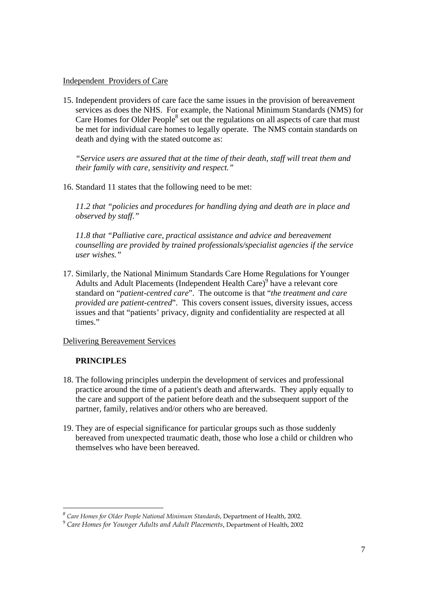#### Independent Providers of Care

15. Independent providers of care face the same issues in the provision of bereavement services as does the NHS. For example, the National Minimum Standards (NMS) for Care Homes for Older People $<sup>8</sup>$  set out the regulations on all aspects of care that must</sup> be met for individual care homes to legally operate. The NMS contain standards on death and dying with the stated outcome as:

*"Service users are assured that at the time of their death, staff will treat them and their family with care, sensitivity and respect."* 

16. Standard 11 states that the following need to be met:

*11.2 that "policies and procedures for handling dying and death are in place and observed by staff."* 

*11.8 that "Palliative care, practical assistance and advice and bereavement counselling are provided by trained professionals/specialist agencies if the service user wishes."* 

17. Similarly, the National Minimum Standards Care Home Regulations for Younger Adults and Adult Placements (Independent Health Care)<sup>9</sup> have a relevant core standard on "*patient-centred care*". The outcome is that "*the treatment and care provided are patient-centred*". This covers consent issues, diversity issues, access issues and that "patients' privacy, dignity and confidentiality are respected at all times."

### Delivering Bereavement Services

#### **PRINCIPLES**

- 18. The following principles underpin the development of services and professional practice around the time of a patient's death and afterwards. They apply equally to the care and support of the patient before death and the subsequent support of the partner, family, relatives and/or others who are bereaved.
- 19. They are of especial significance for particular groups such as those suddenly bereaved from unexpected traumatic death, those who lose a child or children who themselves who have been bereaved.

*<sup>8</sup> Care Homes for Older People National Minimum Standards*, Department of Health, 2002.

<sup>9</sup> *Care Homes for Younger Adults and Adult Placements*, Department of Health, 2002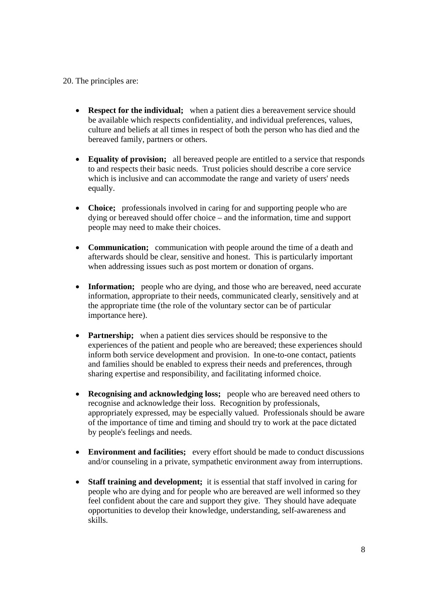#### 20. The principles are:

- **Respect for the individual:** when a patient dies a bereavement service should be available which respects confidentiality, and individual preferences, values, culture and beliefs at all times in respect of both the person who has died and the bereaved family, partners or others.
- **Equality of provision;** all bereaved people are entitled to a service that responds to and respects their basic needs. Trust policies should describe a core service which is inclusive and can accommodate the range and variety of users' needs equally.
- **Choice;** professionals involved in caring for and supporting people who are dying or bereaved should offer choice – and the information, time and support people may need to make their choices.
- **Communication;** communication with people around the time of a death and afterwards should be clear, sensitive and honest. This is particularly important when addressing issues such as post mortem or donation of organs.
- **Information;** people who are dying, and those who are bereaved, need accurate information, appropriate to their needs, communicated clearly, sensitively and at the appropriate time (the role of the voluntary sector can be of particular importance here).
- **Partnership;** when a patient dies services should be responsive to the experiences of the patient and people who are bereaved; these experiences should inform both service development and provision. In one-to-one contact, patients and families should be enabled to express their needs and preferences, through sharing expertise and responsibility, and facilitating informed choice.
- **Recognising and acknowledging loss;** people who are bereaved need others to recognise and acknowledge their loss. Recognition by professionals, appropriately expressed, may be especially valued. Professionals should be aware of the importance of time and timing and should try to work at the pace dictated by people's feelings and needs.
- **Environment and facilities;** every effort should be made to conduct discussions and/or counseling in a private, sympathetic environment away from interruptions.
- **Staff training and development;** it is essential that staff involved in caring for people who are dying and for people who are bereaved are well informed so they feel confident about the care and support they give. They should have adequate opportunities to develop their knowledge, understanding, self-awareness and skills.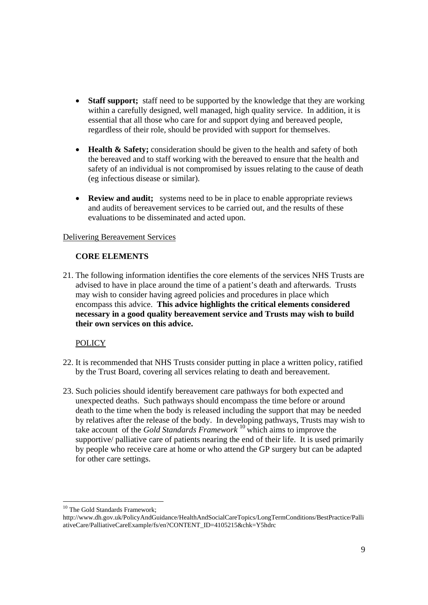- **Staff support;** staff need to be supported by the knowledge that they are working within a carefully designed, well managed, high quality service. In addition, it is essential that all those who care for and support dying and bereaved people, regardless of their role, should be provided with support for themselves.
- **Health & Safety;** consideration should be given to the health and safety of both the bereaved and to staff working with the bereaved to ensure that the health and safety of an individual is not compromised by issues relating to the cause of death (eg infectious disease or similar).
- **Review and audit;** systems need to be in place to enable appropriate reviews and audits of bereavement services to be carried out, and the results of these evaluations to be disseminated and acted upon.

#### Delivering Bereavement Services

#### **CORE ELEMENTS**

21. The following information identifies the core elements of the services NHS Trusts are advised to have in place around the time of a patient's death and afterwards. Trusts may wish to consider having agreed policies and procedures in place which encompass this advice. **This advice highlights the critical elements considered necessary in a good quality bereavement service and Trusts may wish to build their own services on this advice.** 

#### **POLICY**

- 22. It is recommended that NHS Trusts consider putting in place a written policy, ratified by the Trust Board, covering all services relating to death and bereavement.
- 23. Such policies should identify bereavement care pathways for both expected and unexpected deaths. Such pathways should encompass the time before or around death to the time when the body is released including the support that may be needed by relatives after the release of the body. In developing pathways, Trusts may wish to take account of the *Gold Standards Framework* <sup>10</sup> which aims to improve the supportive/ palliative care of patients nearing the end of their life. It is used primarily by people who receive care at home or who attend the GP surgery but can be adapted for other care settings.

<sup>&</sup>lt;sup>10</sup> The Gold Standards Framework;

http://www.dh.gov.uk/PolicyAndGuidance/HealthAndSocialCareTopics/LongTermConditions/BestPractice/Palli ativeCare/PalliativeCareExample/fs/en?CONTENT\_ID=4105215&chk=Y5hdrc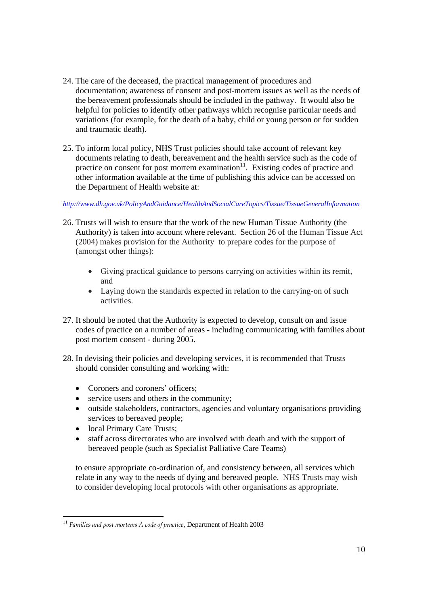- 24. The care of the deceased, the practical management of procedures and documentation; awareness of consent and post-mortem issues as well as the needs of the bereavement professionals should be included in the pathway. It would also be helpful for policies to identify other pathways which recognise particular needs and variations (for example, for the death of a baby, child or young person or for sudden and traumatic death).
- 25. To inform local policy, NHS Trust policies should take account of relevant key documents relating to death, bereavement and the health service such as the code of practice on consent for post mortem examination $11$ . Existing codes of practice and other information available at the time of publishing this advice can be accessed on the Department of Health website at:

*http://www.dh.gov.uk/PolicyAndGuidance/HealthAndSocialCareTopics/Tissue/TissueGeneralInformation*

- 26. Trusts will wish to ensure that the work of the new Human Tissue Authority (the Authority) is taken into account where relevant. Section 26 of the Human Tissue Act (2004) makes provision for the Authority to prepare codes for the purpose of (amongst other things):
	- Giving practical guidance to persons carrying on activities within its remit, and
	- Laying down the standards expected in relation to the carrying-on of such activities.
- 27. It should be noted that the Authority is expected to develop, consult on and issue codes of practice on a number of areas - including communicating with families about post mortem consent - during 2005.
- 28. In devising their policies and developing services, it is recommended that Trusts should consider consulting and working with:
	- Coroners and coroners' officers;
	- service users and others in the community;
	- outside stakeholders, contractors, agencies and voluntary organisations providing services to bereaved people;
	- local Primary Care Trusts;
	- staff across directorates who are involved with death and with the support of bereaved people (such as Specialist Palliative Care Teams)

to ensure appropriate co-ordination of, and consistency between, all services which relate in any way to the needs of dying and bereaved people. NHS Trusts may wish to consider developing local protocols with other organisations as appropriate.

 <sup>11</sup> Families and post mortems A code of practice, Department of Health 2003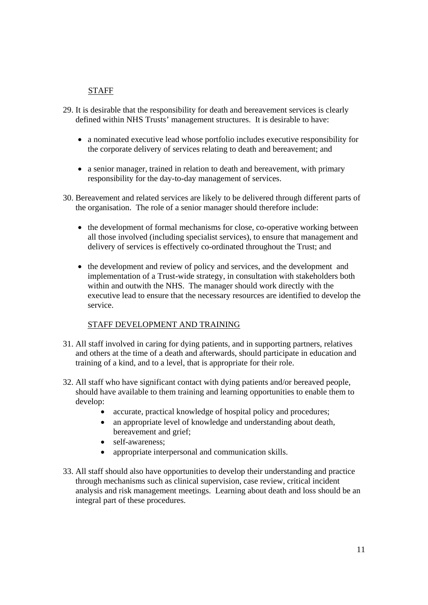### STAFF

- 29. It is desirable that the responsibility for death and bereavement services is clearly defined within NHS Trusts' management structures. It is desirable to have:
	- a nominated executive lead whose portfolio includes executive responsibility for the corporate delivery of services relating to death and bereavement; and
	- a senior manager, trained in relation to death and bereavement, with primary responsibility for the day-to-day management of services.
- 30. Bereavement and related services are likely to be delivered through different parts of the organisation. The role of a senior manager should therefore include:
	- the development of formal mechanisms for close, co-operative working between all those involved (including specialist services), to ensure that management and delivery of services is effectively co-ordinated throughout the Trust; and
	- the development and review of policy and services, and the development and implementation of a Trust-wide strategy, in consultation with stakeholders both within and outwith the NHS. The manager should work directly with the executive lead to ensure that the necessary resources are identified to develop the service.

#### STAFF DEVELOPMENT AND TRAINING

- 31. All staff involved in caring for dying patients, and in supporting partners, relatives and others at the time of a death and afterwards, should participate in education and training of a kind, and to a level, that is appropriate for their role.
- 32. All staff who have significant contact with dying patients and/or bereaved people, should have available to them training and learning opportunities to enable them to develop:
	- accurate, practical knowledge of hospital policy and procedures;
	- an appropriate level of knowledge and understanding about death, bereavement and grief;
	- self-awareness:
	- appropriate interpersonal and communication skills.
- 33. All staff should also have opportunities to develop their understanding and practice through mechanisms such as clinical supervision, case review, critical incident analysis and risk management meetings. Learning about death and loss should be an integral part of these procedures.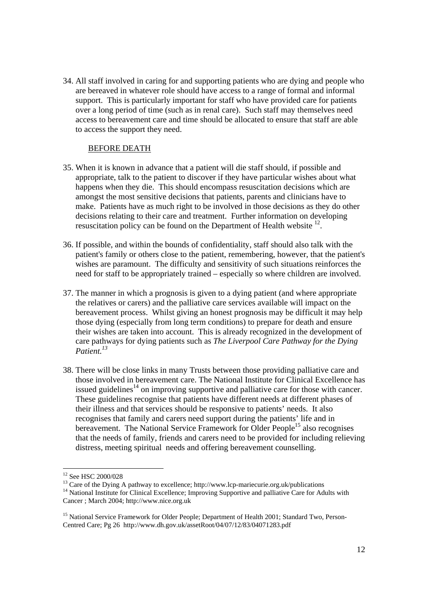34. All staff involved in caring for and supporting patients who are dying and people who are bereaved in whatever role should have access to a range of formal and informal support. This is particularly important for staff who have provided care for patients over a long period of time (such as in renal care). Such staff may themselves need access to bereavement care and time should be allocated to ensure that staff are able to access the support they need.

#### BEFORE DEATH

- 35. When it is known in advance that a patient will die staff should, if possible and appropriate, talk to the patient to discover if they have particular wishes about what happens when they die. This should encompass resuscitation decisions which are amongst the most sensitive decisions that patients, parents and clinicians have to make. Patients have as much right to be involved in those decisions as they do other decisions relating to their care and treatment. Further information on developing resuscitation policy can be found on the Department of Health website  $^{12}$ .
- 36. If possible, and within the bounds of confidentiality, staff should also talk with the patient's family or others close to the patient, remembering, however, that the patient's wishes are paramount. The difficulty and sensitivity of such situations reinforces the need for staff to be appropriately trained – especially so where children are involved.
- 37. The manner in which a prognosis is given to a dying patient (and where appropriate the relatives or carers) and the palliative care services available will impact on the bereavement process. Whilst giving an honest prognosis may be difficult it may help those dying (especially from long term conditions) to prepare for death and ensure their wishes are taken into account. This is already recognized in the development of care pathways for dying patients such as *The Liverpool Care Pathway for the Dying Patient.13*
- 38. There will be close links in many Trusts between those providing palliative care and those involved in bereavement care. The National Institute for Clinical Excellence has issued guidelines<sup>14</sup> on improving supportive and palliative care for those with cancer. These guidelines recognise that patients have different needs at different phases of their illness and that services should be responsive to patients' needs. It also recognises that family and carers need support during the patients' life and in bereavement. The National Service Framework for Older People<sup>15</sup> also recognises that the needs of family, friends and carers need to be provided for including relieving distress, meeting spiritual needs and offering bereavement counselling.

<sup>&</sup>lt;sup>12</sup> See HSC 2000/028

<sup>&</sup>lt;sup>13</sup> Care of the Dying A pathway to excellence; http://www.lcp-mariecurie.org.uk/publications <sup>14</sup> National Institute for Clinical Excellence; Improving Supportive and palliative Care for Adults with Cancer ; March 2004; http://www.nice.org.uk

<sup>&</sup>lt;sup>15</sup> National Service Framework for Older People; Department of Health 2001; Standard Two, Person-Centred Care; Pg 26 http://www.dh.gov.uk/assetRoot/04/07/12/83/04071283.pdf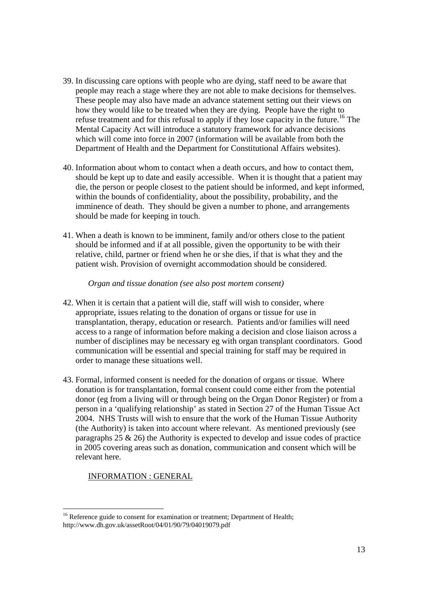- 39. In discussing care options with people who are dying, staff need to be aware that people may reach a stage where they are not able to make decisions for themselves. These people may also have made an advance statement setting out their views on how they would like to be treated when they are dying. People have the right to refuse treatment and for this refusal to apply if they lose capacity in the future.<sup>16</sup> The Mental Capacity Act will introduce a statutory framework for advance decisions which will come into force in 2007 (information will be available from both the Department of Health and the Department for Constitutional Affairs websites).
- 40. Information about whom to contact when a death occurs, and how to contact them, should be kept up to date and easily accessible. When it is thought that a patient may die, the person or people closest to the patient should be informed, and kept informed, within the bounds of confidentiality, about the possibility, probability, and the imminence of death. They should be given a number to phone, and arrangements should be made for keeping in touch.
- 41. When a death is known to be imminent, family and/or others close to the patient should be informed and if at all possible, given the opportunity to be with their relative, child, partner or friend when he or she dies, if that is what they and the patient wish. Provision of overnight accommodation should be considered.

#### *Organ and tissue donation (see also post mortem consent)*

- 42. When it is certain that a patient will die, staff will wish to consider, where appropriate, issues relating to the donation of organs or tissue for use in transplantation, therapy, education or research. Patients and/or families will need access to a range of information before making a decision and close liaison across a number of disciplines may be necessary eg with organ transplant coordinators. Good communication will be essential and special training for staff may be required in order to manage these situations well.
- 43. Formal, informed consent is needed for the donation of organs or tissue. Where donation is for transplantation, formal consent could come either from the potential donor (eg from a living will or through being on the Organ Donor Register) or from a person in a 'qualifying relationship' as stated in Section 27 of the Human Tissue Act 2004. NHS Trusts will wish to ensure that the work of the Human Tissue Authority (the Authority) is taken into account where relevant. As mentioned previously (see paragraphs 25 & 26) the Authority is expected to develop and issue codes of practice in 2005 covering areas such as donation, communication and consent which will be relevant here.

#### INFORMATION : GENERAL

<sup>&</sup>lt;sup>16</sup> Reference guide to consent for examination or treatment; Department of Health; http://www.dh.gov.uk/assetRoot/04/01/90/79/04019079.pdf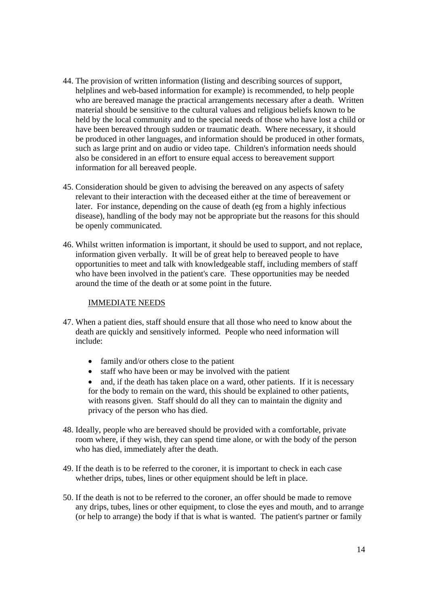- 44. The provision of written information (listing and describing sources of support, helplines and web-based information for example) is recommended, to help people who are bereaved manage the practical arrangements necessary after a death. Written material should be sensitive to the cultural values and religious beliefs known to be held by the local community and to the special needs of those who have lost a child or have been bereaved through sudden or traumatic death. Where necessary, it should be produced in other languages, and information should be produced in other formats, such as large print and on audio or video tape. Children's information needs should also be considered in an effort to ensure equal access to bereavement support information for all bereaved people.
- 45. Consideration should be given to advising the bereaved on any aspects of safety relevant to their interaction with the deceased either at the time of bereavement or later. For instance, depending on the cause of death (eg from a highly infectious disease), handling of the body may not be appropriate but the reasons for this should be openly communicated.
- 46. Whilst written information is important, it should be used to support, and not replace, information given verbally. It will be of great help to bereaved people to have opportunities to meet and talk with knowledgeable staff, including members of staff who have been involved in the patient's care. These opportunities may be needed around the time of the death or at some point in the future.

#### IMMEDIATE NEEDS

- 47. When a patient dies, staff should ensure that all those who need to know about the death are quickly and sensitively informed. People who need information will include:
	- family and/or others close to the patient
	- staff who have been or may be involved with the patient
	- and, if the death has taken place on a ward, other patients. If it is necessary for the body to remain on the ward, this should be explained to other patients, with reasons given. Staff should do all they can to maintain the dignity and privacy of the person who has died.
- 48. Ideally, people who are bereaved should be provided with a comfortable, private room where, if they wish, they can spend time alone, or with the body of the person who has died, immediately after the death.
- 49. If the death is to be referred to the coroner, it is important to check in each case whether drips, tubes, lines or other equipment should be left in place.
- 50. If the death is not to be referred to the coroner, an offer should be made to remove any drips, tubes, lines or other equipment, to close the eyes and mouth, and to arrange (or help to arrange) the body if that is what is wanted. The patient's partner or family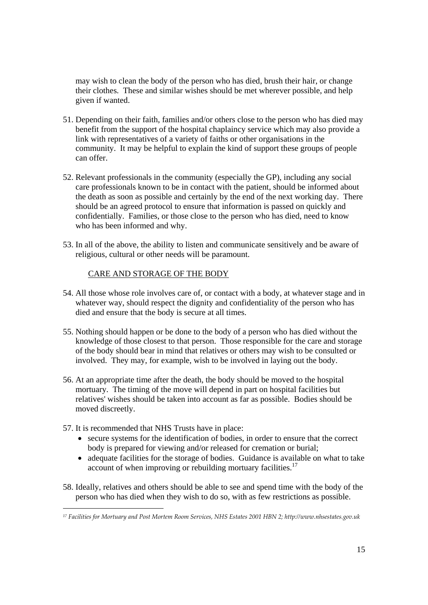may wish to clean the body of the person who has died, brush their hair, or change their clothes. These and similar wishes should be met wherever possible, and help given if wanted.

- 51. Depending on their faith, families and/or others close to the person who has died may benefit from the support of the hospital chaplaincy service which may also provide a link with representatives of a variety of faiths or other organisations in the community. It may be helpful to explain the kind of support these groups of people can offer.
- 52. Relevant professionals in the community (especially the GP), including any social care professionals known to be in contact with the patient, should be informed about the death as soon as possible and certainly by the end of the next working day. There should be an agreed protocol to ensure that information is passed on quickly and confidentially. Families, or those close to the person who has died, need to know who has been informed and why.
- 53. In all of the above, the ability to listen and communicate sensitively and be aware of religious, cultural or other needs will be paramount.

#### CARE AND STORAGE OF THE BODY

- 54. All those whose role involves care of, or contact with a body, at whatever stage and in whatever way, should respect the dignity and confidentiality of the person who has died and ensure that the body is secure at all times.
- 55. Nothing should happen or be done to the body of a person who has died without the knowledge of those closest to that person. Those responsible for the care and storage of the body should bear in mind that relatives or others may wish to be consulted or involved. They may, for example, wish to be involved in laying out the body.
- 56. At an appropriate time after the death, the body should be moved to the hospital mortuary. The timing of the move will depend in part on hospital facilities but relatives' wishes should be taken into account as far as possible. Bodies should be moved discreetly.
- 57. It is recommended that NHS Trusts have in place:

- secure systems for the identification of bodies, in order to ensure that the correct body is prepared for viewing and/or released for cremation or burial;
- adequate facilities for the storage of bodies. Guidance is available on what to take account of when improving or rebuilding mortuary facilities.<sup>17</sup>
- 58. Ideally, relatives and others should be able to see and spend time with the body of the person who has died when they wish to do so, with as few restrictions as possible.

*<sup>17</sup> Facilities for Mortuary and Post Mortem Room Services, NHS Estates 2001 HBN 2; http://www.nhsestates.gov.uk*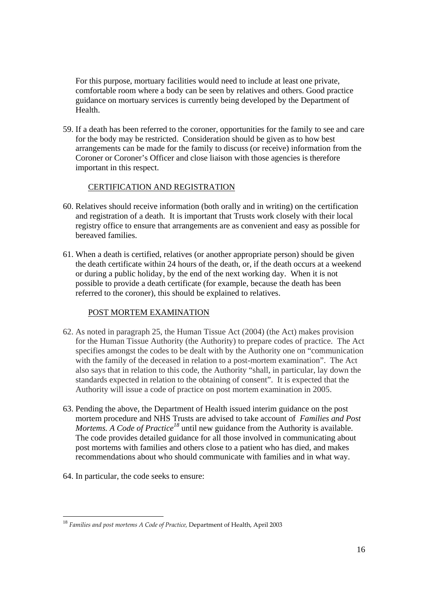For this purpose, mortuary facilities would need to include at least one private, comfortable room where a body can be seen by relatives and others. Good practice guidance on mortuary services is currently being developed by the Department of Health.

59. If a death has been referred to the coroner, opportunities for the family to see and care for the body may be restricted. Consideration should be given as to how best arrangements can be made for the family to discuss (or receive) information from the Coroner or Coroner's Officer and close liaison with those agencies is therefore important in this respect.

#### CERTIFICATION AND REGISTRATION

- 60. Relatives should receive information (both orally and in writing) on the certification and registration of a death. It is important that Trusts work closely with their local registry office to ensure that arrangements are as convenient and easy as possible for bereaved families.
- 61. When a death is certified, relatives (or another appropriate person) should be given the death certificate within 24 hours of the death, or, if the death occurs at a weekend or during a public holiday, by the end of the next working day. When it is not possible to provide a death certificate (for example, because the death has been referred to the coroner), this should be explained to relatives.

#### POST MORTEM EXAMINATION

- 62. As noted in paragraph 25, the Human Tissue Act (2004) (the Act) makes provision for the Human Tissue Authority (the Authority) to prepare codes of practice. The Act specifies amongst the codes to be dealt with by the Authority one on "communication with the family of the deceased in relation to a post-mortem examination". The Act also says that in relation to this code, the Authority "shall, in particular, lay down the standards expected in relation to the obtaining of consent". It is expected that the Authority will issue a code of practice on post mortem examination in 2005.
- 63. Pending the above, the Department of Health issued interim guidance on the post mortem procedure and NHS Trusts are advised to take account of *Families and Post Mortems. A Code of Practice*<sup>18</sup> until new guidance from the Authority is available. The code provides detailed guidance for all those involved in communicating about post mortems with families and others close to a patient who has died, and makes recommendations about who should communicate with families and in what way.
- 64. In particular, the code seeks to ensure:

 <sup>18</sup> *Families and post mortems A Code of Practice,* Department of Health, April 2003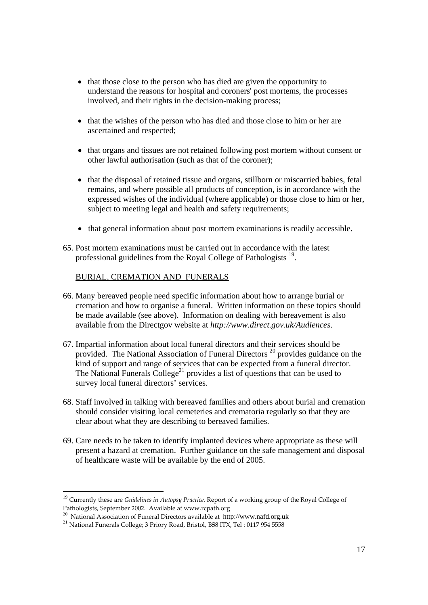- that those close to the person who has died are given the opportunity to understand the reasons for hospital and coroners' post mortems, the processes involved, and their rights in the decision-making process;
- that the wishes of the person who has died and those close to him or her are ascertained and respected;
- that organs and tissues are not retained following post mortem without consent or other lawful authorisation (such as that of the coroner);
- that the disposal of retained tissue and organs, stillborn or miscarried babies, fetal remains, and where possible all products of conception, is in accordance with the expressed wishes of the individual (where applicable) or those close to him or her, subject to meeting legal and health and safety requirements;
- that general information about post mortem examinations is readily accessible.
- 65. Post mortem examinations must be carried out in accordance with the latest professional guidelines from the Royal College of Pathologists<sup>19</sup>.

#### BURIAL, CREMATION AND FUNERALS

- 66. Many bereaved people need specific information about how to arrange burial or cremation and how to organise a funeral. Written information on these topics should be made available (see above). Information on dealing with bereavement is also available from the Directgov website at *http://www.direct.gov.uk/Audiences*.
- 67. Impartial information about local funeral directors and their services should be provided. The National Association of Funeral Directors<sup>20</sup> provides guidance on the kind of support and range of services that can be expected from a funeral director. The National Funerals College<sup>21</sup> provides a list of questions that can be used to survey local funeral directors' services.
- 68. Staff involved in talking with bereaved families and others about burial and cremation should consider visiting local cemeteries and crematoria regularly so that they are clear about what they are describing to bereaved families.
- 69. Care needs to be taken to identify implanted devices where appropriate as these will present a hazard at cremation. Further guidance on the safe management and disposal of healthcare waste will be available by the end of 2005.

<sup>&</sup>lt;sup>19</sup> Currently these are *Guidelines in Autopsy Practice*. Report of a working group of the Royal College of Pathologists, September 2002. Available at www.rcpath.org

<sup>&</sup>lt;sup>20</sup> National Association of Funeral Directors available at http://www.nafd.org.uk <sup>21</sup> National Funerals College; 3 Priory Road, Bristol, BS8 ITX, Tel : 0117 954 5558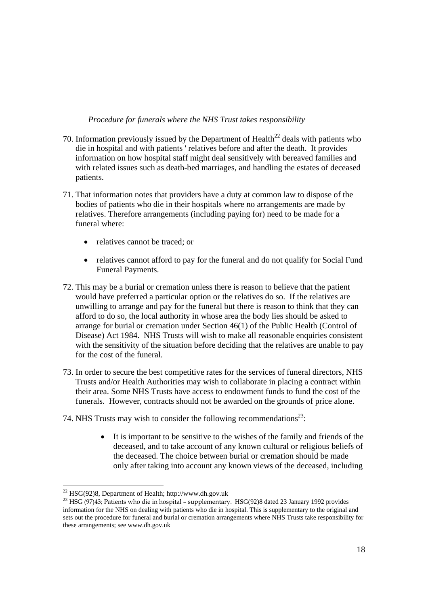#### *Procedure for funerals where the NHS Trust takes responsibility*

- 70. Information previously issued by the Department of Health<sup>22</sup> deals with patients who die in hospital and with patients ' relatives before and after the death. It provides information on how hospital staff might deal sensitively with bereaved families and with related issues such as death-bed marriages, and handling the estates of deceased patients.
- 71. That information notes that providers have a duty at common law to dispose of the bodies of patients who die in their hospitals where no arrangements are made by relatives. Therefore arrangements (including paying for) need to be made for a funeral where:
	- relatives cannot be traced; or
	- relatives cannot afford to pay for the funeral and do not qualify for Social Fund Funeral Payments.
- 72. This may be a burial or cremation unless there is reason to believe that the patient would have preferred a particular option or the relatives do so. If the relatives are unwilling to arrange and pay for the funeral but there is reason to think that they can afford to do so, the local authority in whose area the body lies should be asked to arrange for burial or cremation under Section 46(1) of the Public Health (Control of Disease) Act 1984. NHS Trusts will wish to make all reasonable enquiries consistent with the sensitivity of the situation before deciding that the relatives are unable to pay for the cost of the funeral.
- 73. In order to secure the best competitive rates for the services of funeral directors, NHS Trusts and/or Health Authorities may wish to collaborate in placing a contract within their area. Some NHS Trusts have access to endowment funds to fund the cost of the funerals. However, contracts should not be awarded on the grounds of price alone.
- 74. NHS Trusts may wish to consider the following recommendations<sup>23</sup>:
	- It is important to be sensitive to the wishes of the family and friends of the deceased, and to take account of any known cultural or religious beliefs of the deceased. The choice between burial or cremation should be made only after taking into account any known views of the deceased, including

 $^{22}$  HSG(92)8, Department of Health; http://www.dh.gov.uk

<sup>23</sup> HSG (97)43; Patients who die in hospital – supplementary. HSG(92)8 dated 23 January 1992 provides information for the NHS on dealing with patients who die in hospital. This is supplementary to the original and sets out the procedure for funeral and burial or cremation arrangements where NHS Trusts take responsibility for these arrangements; see www.dh.gov.uk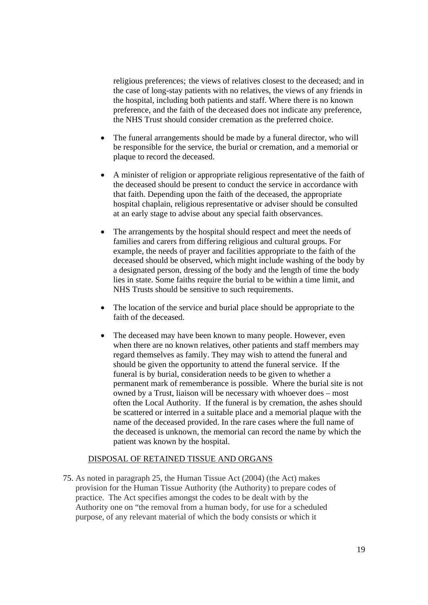religious preferences; the views of relatives closest to the deceased; and in the case of long-stay patients with no relatives, the views of any friends in the hospital, including both patients and staff. Where there is no known preference, and the faith of the deceased does not indicate any preference, the NHS Trust should consider cremation as the preferred choice.

- The funeral arrangements should be made by a funeral director, who will be responsible for the service, the burial or cremation, and a memorial or plaque to record the deceased.
- A minister of religion or appropriate religious representative of the faith of the deceased should be present to conduct the service in accordance with that faith. Depending upon the faith of the deceased, the appropriate hospital chaplain, religious representative or adviser should be consulted at an early stage to advise about any special faith observances.
- The arrangements by the hospital should respect and meet the needs of families and carers from differing religious and cultural groups. For example, the needs of prayer and facilities appropriate to the faith of the deceased should be observed, which might include washing of the body by a designated person, dressing of the body and the length of time the body lies in state. Some faiths require the burial to be within a time limit, and NHS Trusts should be sensitive to such requirements.
- The location of the service and burial place should be appropriate to the faith of the deceased.
- The deceased may have been known to many people. However, even when there are no known relatives, other patients and staff members may regard themselves as family. They may wish to attend the funeral and should be given the opportunity to attend the funeral service. If the funeral is by burial, consideration needs to be given to whether a permanent mark of rememberance is possible. Where the burial site is not owned by a Trust, liaison will be necessary with whoever does – most often the Local Authority. If the funeral is by cremation, the ashes should be scattered or interred in a suitable place and a memorial plaque with the name of the deceased provided. In the rare cases where the full name of the deceased is unknown, the memorial can record the name by which the patient was known by the hospital.

#### DISPOSAL OF RETAINED TISSUE AND ORGANS

75. As noted in paragraph 25, the Human Tissue Act (2004) (the Act) makes provision for the Human Tissue Authority (the Authority) to prepare codes of practice. The Act specifies amongst the codes to be dealt with by the Authority one on "the removal from a human body, for use for a scheduled purpose, of any relevant material of which the body consists or which it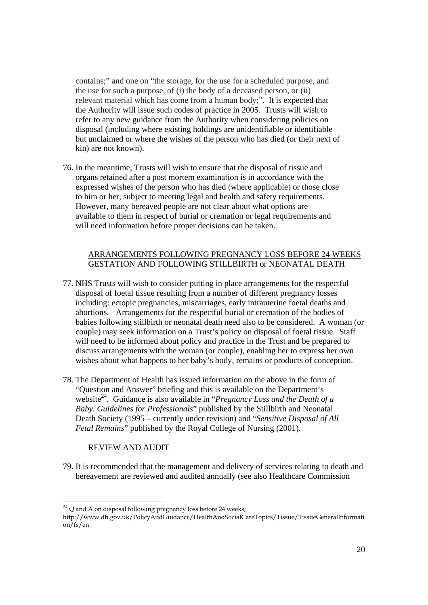contains;" and one on "the storage, for the use for a scheduled purpose, and the use for such a purpose, of (i) the body of a deceased person, or (ii) relevant material which has come from a human body;". It is expected that the Authority will issue such codes of practice in 2005. Trusts will wish to refer to any new guidance from the Authority when considering policies on disposal (including where existing holdings are unidentifiable or identifiable but unclaimed or where the wishes of the person who has died (or their next of kin) are not known).

76. In the meantime, Trusts will wish to ensure that the disposal of tissue and organs retained after a post mortem examination is in accordance with the expressed wishes of the person who has died (where applicable) or those close to him or her, subject to meeting legal and health and safety requirements. However, many bereaved people are not clear about what options are available to them in respect of burial or cremation or legal requirements and will need information before proper decisions can be taken.

#### ARRANGEMENTS FOLLOWING PREGNANCY LOSS BEFORE 24 WEEKS GESTATION AND FOLLOWING STILLBIRTH or NEONATAL DEATH

- 77. NHS Trusts will wish to consider putting in place arrangements for the respectful disposal of foetal tissue resulting from a number of different pregnancy losses including: ectopic pregnancies, miscarriages, early intrauterine foetal deaths and abortions. Arrangements for the respectful burial or cremation of the bodies of babies following stillbirth or neonatal death need also to be considered. A woman (or couple) may seek information on a Trust's policy on disposal of foetal tissue. Staff will need to be informed about policy and practice in the Trust and be prepared to discuss arrangements with the woman (or couple), enabling her to express her own wishes about what happens to her baby's body, remains or products of conception.
- 78. The Department of Health has issued information on the above in the form of "Question and Answer" briefing and this is available on the Department's website<sup>24</sup>. Guidance is also available in "*Pregnancy Loss and the Death of a Baby. Guidelines for Professionals*" published by the Stillbirth and Neonatal Death Society (1995 – currently under revision) and "*Sensitive Disposal of All Fetal Remains*" published by the Royal College of Nursing (2001).

#### REVIEW AND AUDIT

79. It is recommended that the management and delivery of services relating to death and bereavement are reviewed and audited annually (see also Healthcare Commission

 $^{24}$  Q and A on disposal following pregnancy loss before 24 weeks;

http://www.dh.gov.uk/PolicyAndGuidance/HealthAndSocialCareTopics/Tissue/TissueGeneralInformati on/fs/en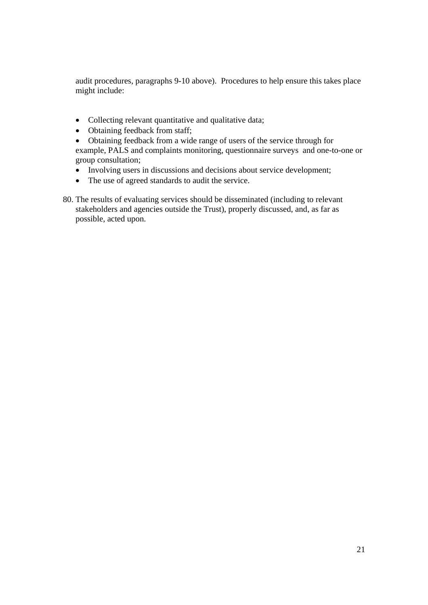audit procedures, paragraphs 9-10 above). Procedures to help ensure this takes place might include:

- Collecting relevant quantitative and qualitative data;
- Obtaining feedback from staff;
- Obtaining feedback from a wide range of users of the service through for example, PALS and complaints monitoring, questionnaire surveys and one-to-one or group consultation;
- Involving users in discussions and decisions about service development;
- The use of agreed standards to audit the service.
- 80. The results of evaluating services should be disseminated (including to relevant stakeholders and agencies outside the Trust), properly discussed, and, as far as possible, acted upon.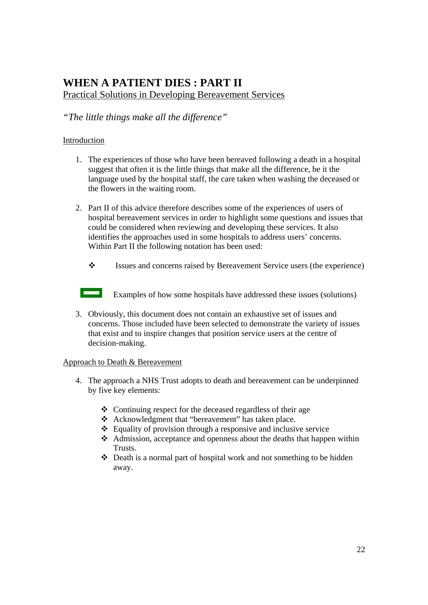## **WHEN A PATIENT DIES : PART II**  Practical Solutions in Developing Bereavement Services

*"The little things make all the difference"* 

#### Introduction

- 1. The experiences of those who have been bereaved following a death in a hospital suggest that often it is the little things that make all the difference, be it the language used by the hospital staff, the care taken when washing the deceased or the flowers in the waiting room.
- 2. Part II of this advice therefore describes some of the experiences of users of hospital bereavement services in order to highlight some questions and issues that could be considered when reviewing and developing these services. It also identifies the approaches used in some hospitals to address users' concerns. Within Part II the following notation has been used:
	- Issues and concerns raised by Bereavement Service users (the experience)

<u>to </u>

Examples of how some hospitals have addressed these issues (solutions)

3. Obviously, this document does not contain an exhaustive set of issues and concerns. Those included have been selected to demonstrate the variety of issues that exist and to inspire changes that position service users at the centre of decision-making.

#### Approach to Death & Bereavement

- 4. The approach a NHS Trust adopts to death and bereavement can be underpinned by five key elements:
	- $\triangle$  Continuing respect for the deceased regardless of their age
	- Acknowledgment that "bereavement" has taken place.
	- $\triangle$  Equality of provision through a responsive and inclusive service
	- Admission, acceptance and openness about the deaths that happen within Trusts.
	- Death is a normal part of hospital work and not something to be hidden away.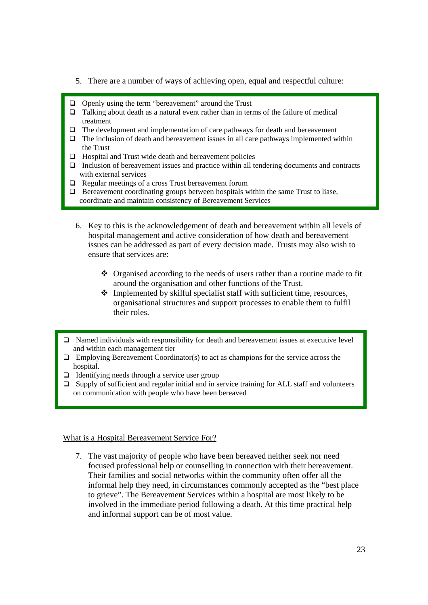- 5. There are a number of ways of achieving open, equal and respectful culture:
- $\Box$  Openly using the term "bereavement" around the Trust
- $\Box$  Talking about death as a natural event rather than in terms of the failure of medical treatment
- $\Box$  The development and implementation of care pathways for death and bereavement
- $\Box$  The inclusion of death and bereavement issues in all care pathways implemented within the Trust
- $\Box$  Hospital and Trust wide death and bereavement policies
- $\Box$  Inclusion of bereavement issues and practice within all tendering documents and contracts with external services
- □ Regular meetings of a cross Trust bereavement forum
- $\Box$  Bereavement coordinating groups between hospitals within the same Trust to liase, coordinate and maintain consistency of Bereavement Services
	- 6. Key to this is the acknowledgement of death and bereavement within all levels of hospital management and active consideration of how death and bereavement issues can be addressed as part of every decision made. Trusts may also wish to ensure that services are:
		- Organised according to the needs of users rather than a routine made to fit around the organisation and other functions of the Trust.
		- Implemented by skilful specialist staff with sufficient time, resources, organisational structures and support processes to enable them to fulfil their roles.
- $\Box$  Named individuals with responsibility for death and bereavement issues at executive level and within each management tier
- $\Box$  Employing Bereavement Coordinator(s) to act as champions for the service across the hospital.
- $\Box$  Identifying needs through a service user group
- Supply of sufficient and regular initial and in service training for ALL staff and volunteers on communication with people who have been bereaved

#### What is a Hospital Bereavement Service For?

7. The vast majority of people who have been bereaved neither seek nor need focused professional help or counselling in connection with their bereavement. Their families and social networks within the community often offer all the informal help they need, in circumstances commonly accepted as the "best place to grieve". The Bereavement Services within a hospital are most likely to be involved in the immediate period following a death. At this time practical help and informal support can be of most value.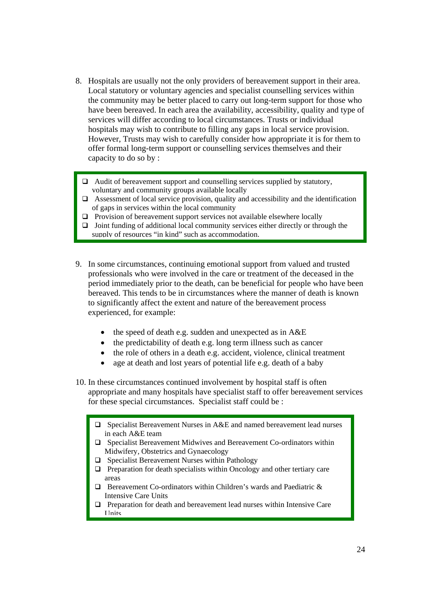- 8. Hospitals are usually not the only providers of bereavement support in their area. Local statutory or voluntary agencies and specialist counselling services within the community may be better placed to carry out long-term support for those who have been bereaved. In each area the availability, accessibility, quality and type of services will differ according to local circumstances. Trusts or individual hospitals may wish to contribute to filling any gaps in local service provision. However, Trusts may wish to carefully consider how appropriate it is for them to offer formal long-term support or counselling services themselves and their capacity to do so by :
- 1. Audit of bereavement support and counselling services supplied by statutory, voluntary and community groups available locally
	- $\Box$  Assessment of local service provision, quality and accessibility and the identification of gaps in services within the local community
	- $\Box$  Provision of bereavement support services not available elsewhere locally
	- $\Box$  Joint funding of additional local community services either directly or through the supply of resources "in kind" such as accommodation.
- 9. In some circumstances, continuing emotional support from valued and trusted professionals who were involved in the care or treatment of the deceased in the period immediately prior to the death, can be beneficial for people who have been bereaved. This tends to be in circumstances where the manner of death is known to significantly affect the extent and nature of the bereavement process experienced, for example:
	- the speed of death e.g. sudden and unexpected as in A&E
	- the predictability of death e.g. long term illness such as cancer
	- the role of others in a death e.g. accident, violence, clinical treatment
	- age at death and lost years of potential life e.g. death of a baby
- 10. In these circumstances continued involvement by hospital staff is often appropriate and many hospitals have specialist staff to offer bereavement services for these special circumstances. Specialist staff could be :
	- Specialist Bereavement Nurses in A&E and named bereavement lead nurses in each A&E team
	- $\Box$  Specialist Bereavement Midwives and Bereavement Co-ordinators within Midwifery, Obstetrics and Gynaecology
	- $\Box$  Specialist Bereavement Nurses within Pathology
	- $\Box$  Preparation for death specialists within Oncology and other tertiary care areas
	- $\Box$  Bereavement Co-ordinators within Children's wards and Paediatric & Intensive Care Units
	- $\Box$  Preparation for death and bereavement lead nurses within Intensive Care **Units**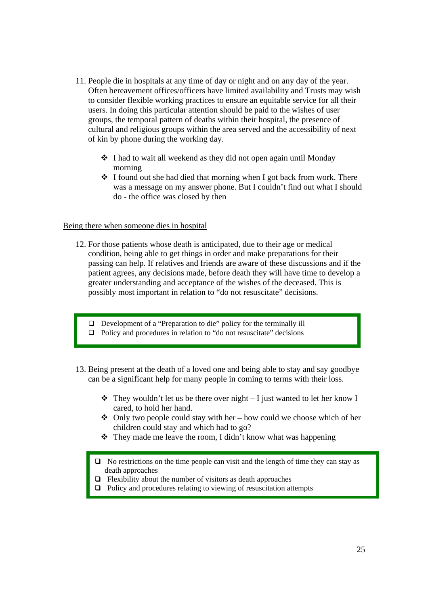- 11. People die in hospitals at any time of day or night and on any day of the year. Often bereavement offices/officers have limited availability and Trusts may wish to consider flexible working practices to ensure an equitable service for all their users. In doing this particular attention should be paid to the wishes of user groups, the temporal pattern of deaths within their hospital, the presence of cultural and religious groups within the area served and the accessibility of next of kin by phone during the working day.
	- I had to wait all weekend as they did not open again until Monday morning
	- $\cdot \cdot$  I found out she had died that morning when I got back from work. There was a message on my answer phone. But I couldn't find out what I should do - the office was closed by then

#### Being there when someone dies in hospital

- 12. For those patients whose death is anticipated, due to their age or medical condition, being able to get things in order and make preparations for their passing can help. If relatives and friends are aware of these discussions and if the patient agrees, any decisions made, before death they will have time to develop a greater understanding and acceptance of the wishes of the deceased. This is possibly most important in relation to "do not resuscitate" decisions.
	- $\Box$  Development of a "Preparation to die" policy for the terminally ill
	- $\Box$  Policy and procedures in relation to "do not resuscitate" decisions
- 13. Being present at the death of a loved one and being able to stay and say goodbye can be a significant help for many people in coming to terms with their loss.
	- $\triangle$  They wouldn't let us be there over night I just wanted to let her know I cared, to hold her hand.
	- $\triangleleft$  Only two people could stay with her how could we choose which of her children could stay and which had to go?
	- $\triangle$  They made me leave the room, I didn't know what was happening
	- $\Box$  No restrictions on the time people can visit and the length of time they can stay as death approaches
	- $\Box$  Flexibility about the number of visitors as death approaches
	- $\Box$  Policy and procedures relating to viewing of resuscitation attempts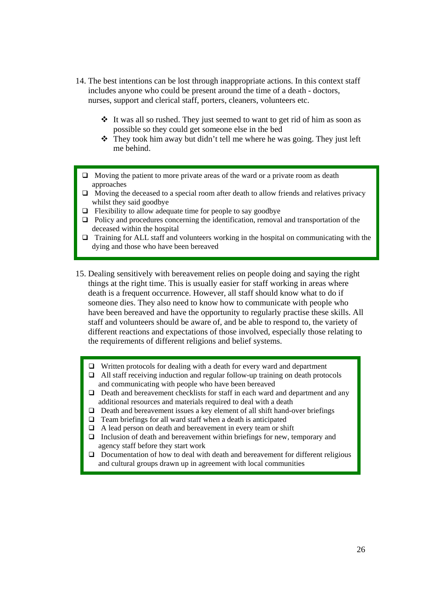- 14. The best intentions can be lost through inappropriate actions. In this context staff includes anyone who could be present around the time of a death - doctors, nurses, support and clerical staff, porters, cleaners, volunteers etc.
	- It was all so rushed. They just seemed to want to get rid of him as soon as possible so they could get someone else in the bed
	- $\hat{\mathbf{v}}$  They took him away but didn't tell me where he was going. They just left me behind.
	- $\Box$  Moving the patient to more private areas of the ward or a private room as death approaches
	- $\Box$  Moving the deceased to a special room after death to allow friends and relatives privacy whilst they said goodbye
	- $\Box$  Flexibility to allow adequate time for people to say goodbye
	- $\Box$  Policy and procedures concerning the identification, removal and transportation of the deceased within the hospital
	- $\Box$  Training for ALL staff and volunteers working in the hospital on communicating with the dying and those who have been bereaved
- 15. Dealing sensitively with bereavement relies on people doing and saying the right things at the right time. This is usually easier for staff working in areas where death is a frequent occurrence. However, all staff should know what to do if someone dies. They also need to know how to communicate with people who have been bereaved and have the opportunity to regularly practise these skills. All staff and volunteers should be aware of, and be able to respond to, the variety of different reactions and expectations of those involved, especially those relating to the requirements of different religions and belief systems.
	- $\Box$  Written protocols for dealing with a death for every ward and department
	- $\Box$  All staff receiving induction and regular follow-up training on death protocols and communicating with people who have been bereaved
	- $\Box$  Death and bereavement checklists for staff in each ward and department and any additional resources and materials required to deal with a death
	- $\Box$  Death and bereavement issues a key element of all shift hand-over briefings
	- $\Box$  Team briefings for all ward staff when a death is anticipated
	- $\Box$  A lead person on death and bereavement in every team or shift
	- $\Box$  Inclusion of death and bereavement within briefings for new, temporary and agency staff before they start work
	- $\Box$  Documentation of how to deal with death and bereavement for different religious and cultural groups drawn up in agreement with local communities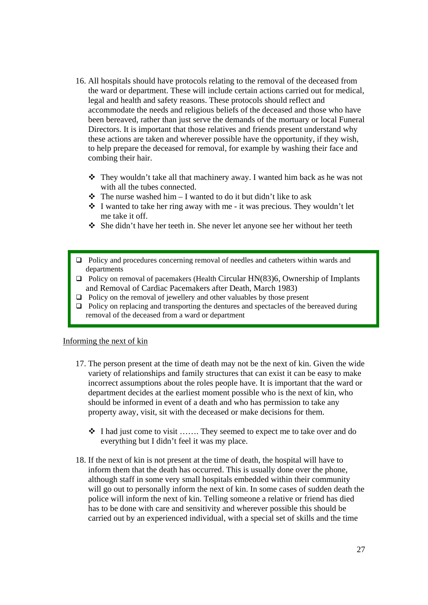- 16. All hospitals should have protocols relating to the removal of the deceased from the ward or department. These will include certain actions carried out for medical, legal and health and safety reasons. These protocols should reflect and accommodate the needs and religious beliefs of the deceased and those who have been bereaved, rather than just serve the demands of the mortuary or local Funeral Directors. It is important that those relatives and friends present understand why these actions are taken and wherever possible have the opportunity, if they wish, to help prepare the deceased for removal, for example by washing their face and combing their hair.
	- $\triangle$  They wouldn't take all that machinery away. I wanted him back as he was not with all the tubes connected.
	- $\triangle$  The nurse washed him I wanted to do it but didn't like to ask
	- $\cdot \cdot$  I wanted to take her ring away with me it was precious. They wouldn't let me take it off.
	- $\div$  She didn't have her teeth in. She never let anyone see her without her teeth
- Policy and procedures concerning removal of needles and catheters within wards and departments
- $\Box$  Policy on removal of pacemakers (Health Circular HN(83)6, Ownership of Implants and Removal of Cardiac Pacemakers after Death, March 1983)
- $\Box$  Policy on the removal of jewellery and other valuables by those present
- $\Box$  Policy on replacing and transporting the dentures and spectacles of the bereaved during removal of the deceased from a ward or department

#### Informing the next of kin

- 17. The person present at the time of death may not be the next of kin. Given the wide variety of relationships and family structures that can exist it can be easy to make incorrect assumptions about the roles people have. It is important that the ward or department decides at the earliest moment possible who is the next of kin, who should be informed in event of a death and who has permission to take any property away, visit, sit with the deceased or make decisions for them.
	- I had just come to visit ……. They seemed to expect me to take over and do everything but I didn't feel it was my place.
- 18. If the next of kin is not present at the time of death, the hospital will have to inform them that the death has occurred. This is usually done over the phone, although staff in some very small hospitals embedded within their community will go out to personally inform the next of kin. In some cases of sudden death the police will inform the next of kin. Telling someone a relative or friend has died has to be done with care and sensitivity and wherever possible this should be carried out by an experienced individual, with a special set of skills and the time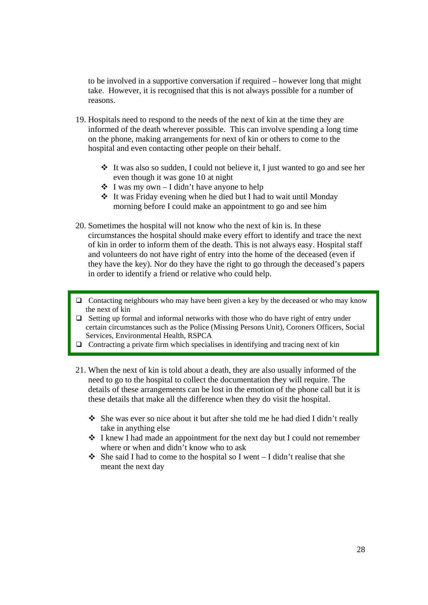to be involved in a supportive conversation if required – however long that might take. However, it is recognised that this is not always possible for a number of reasons.

- 19. Hospitals need to respond to the needs of the next of kin at the time they are informed of the death wherever possible. This can involve spending a long time on the phone, making arrangements for next of kin or others to come to the hospital and even contacting other people on their behalf.
	- $\cdot \cdot$  It was also so sudden, I could not believe it, I just wanted to go and see her even though it was gone 10 at night
	- $\div$  I was my own I didn't have anyone to help
	- It was Friday evening when he died but I had to wait until Monday morning before I could make an appointment to go and see him
- 20. Sometimes the hospital will not know who the next of kin is. In these circumstances the hospital should make every effort to identify and trace the next of kin in order to inform them of the death. This is not always easy. Hospital staff and volunteers do not have right of entry into the home of the deceased (even if they have the key). Nor do they have the right to go through the deceased's papers in order to identify a friend or relative who could help.
- $\Box$  Contacting neighbours who may have been given a key by the deceased or who may know the next of kin
- $\Box$  Setting up formal and informal networks with those who do have right of entry under certain circumstances such as the Police (Missing Persons Unit), Coroners Officers, Social Services, Environmental Health, RSPCA
- $\Box$  Contracting a private firm which specialises in identifying and tracing next of kin
- 21. When the next of kin is told about a death, they are also usually informed of the need to go to the hospital to collect the documentation they will require. The details of these arrangements can be lost in the emotion of the phone call but it is these details that make all the difference when they do visit the hospital.
	- She was ever so nice about it but after she told me he had died I didn't really take in anything else
	- $\div$  I knew I had made an appointment for the next day but I could not remember where or when and didn't know who to ask
	- $\triangleleft$  She said I had to come to the hospital so I went I didn't realise that she meant the next day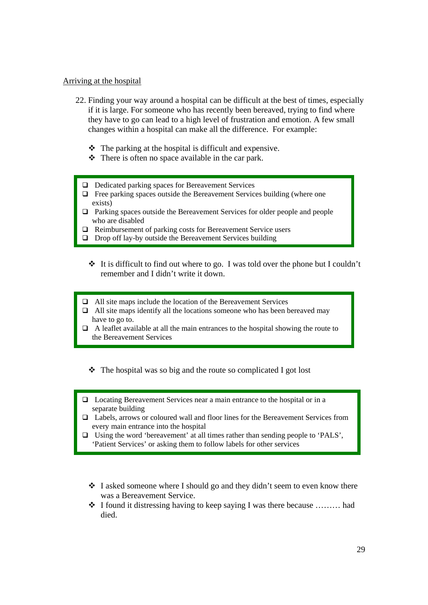#### Arriving at the hospital

- 22. Finding your way around a hospital can be difficult at the best of times, especially if it is large. For someone who has recently been bereaved, trying to find where they have to go can lead to a high level of frustration and emotion. A few small changes within a hospital can make all the difference. For example:
	- $\triangle$  The parking at the hospital is difficult and expensive.
	- $\triangle$  There is often no space available in the car park.
	- $\Box$  Dedicated parking spaces for Bereavement Services
	- $\Box$  Free parking spaces outside the Bereavement Services building (where one exists)
	- $\Box$  Parking spaces outside the Bereavement Services for older people and people with a gradient leads who are disabled
	- □ Reimbursement of parking costs for Bereavement Service users
	- $\Box$  Drop off lay-by outside the Bereavement Services building
		- $\cdot \cdot$  It is difficult to find out where to go. I was told over the phone but I couldn't remember and I didn't write it down.
	- All site maps include the location of the Bereavement Services
	- $\Box$  All site maps identify all the locations someone who has been bereaved may have to go to.
	- $\Box$  A leaflet available at all the main entrances to the hospital showing the route to the Bereavement Services
		- $\triangle$  The hospital was so big and the route so complicated I got lost
	- □ Locating Bereavement Services near a main entrance to the hospital or in a separate building
	- Labels, arrows or coloured wall and floor lines for the Bereavement Services from every main entrance into the hospital
	- Using the word 'bereavement' at all times rather than sending people to 'PALS', 'Patient Services' or asking them to follow labels for other services
		- $\cdot \cdot$  I asked someone where I should go and they didn't seem to even know there was a Bereavement Service.
		- $\triangleleft$  I found it distressing having to keep saying I was there because ......... had died.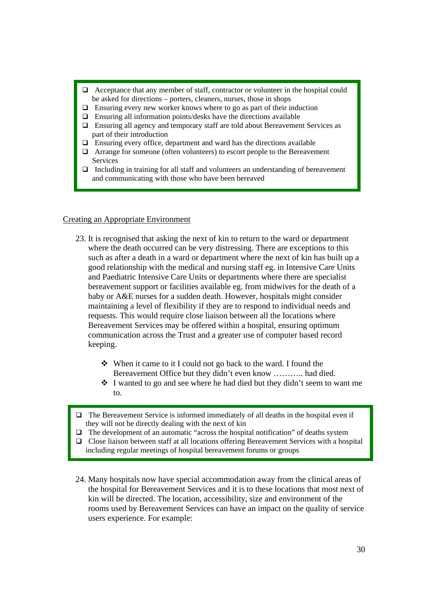- Acceptance that any member of staff, contractor or volunteer in the hospital could be asked for directions – porters, cleaners, nurses, those in shops
- $\Box$  Ensuring every new worker knows where to go as part of their induction
- $\Box$  Ensuring all information points/desks have the directions available
- Ensuring all agency and temporary staff are told about Bereavement Services as part of their introduction
- $\Box$  Ensuring every office, department and ward has the directions available
- Arrange for someone (often volunteers) to escort people to the Bereavement Services
- and communicating with those who have been bereaved  $\Box$  Including in training for all staff and volunteers an understanding of bereavement

#### Creating an Appropriate Environment

- 23. It is recognised that asking the next of kin to return to the ward or department where the death occurred can be very distressing. There are exceptions to this such as after a death in a ward or department where the next of kin has built up a good relationship with the medical and nursing staff eg. in Intensive Care Units and Paediatric Intensive Care Units or departments where there are specialist bereavement support or facilities available eg. from midwives for the death of a baby or A&E nurses for a sudden death. However, hospitals might consider maintaining a level of flexibility if they are to respond to individual needs and requests. This would require close liaison between all the locations where Bereavement Services may be offered within a hospital, ensuring optimum communication across the Trust and a greater use of computer based record keeping.
	- When it came to it I could not go back to the ward. I found the Bereavement Office but they didn't even know ……….. had died.
	- I wanted to go and see where he had died but they didn't seem to want me to.
- $\Box$  The Bereavement Service is informed immediately of all deaths in the hospital even if they will not be directly dealing with the next of kin
- $\Box$  The development of an automatic "across the hospital notification" of deaths system
- Close liaison between staff at all locations offering Bereavement Services with a hospital including regular meetings of hospital bereavement forums or groups
- 24. Many hospitals now have special accommodation away from the clinical areas of the hospital for Bereavement Services and it is to these locations that most next of kin will be directed. The location, accessibility, size and environment of the rooms used by Bereavement Services can have an impact on the quality of service users experience. For example: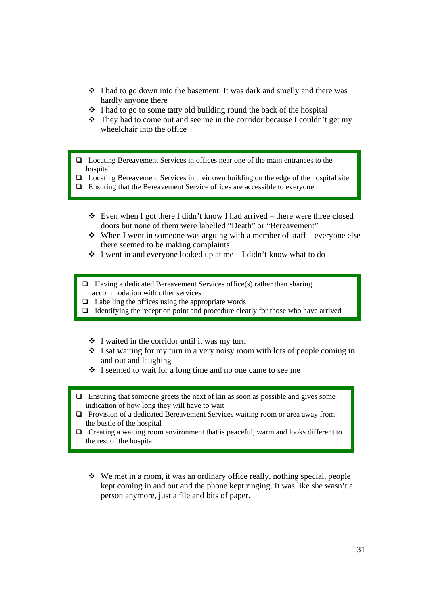- $\div$  I had to go down into the basement. It was dark and smelly and there was hardly anyone there
- $\cdot \cdot$  I had to go to some tatty old building round the back of the hospital
- $\cdot \cdot$  They had to come out and see me in the corridor because I couldn't get my wheelchair into the office
- Locating Bereavement Services in offices near one of the main entrances to the hospital
- $\Box$  Locating Bereavement Services in their own building on the edge of the hospital site
- $\Box$  Ensuring that the Bereavement Service offices are accessible to everyone
	- $\triangle$  Even when I got there I didn't know I had arrived there were three closed doors but none of them were labelled "Death" or "Bereavement"
	- $\triangle$  When I went in someone was arguing with a member of staff everyone else there seemed to be making complaints
	- $\div$  I went in and everyone looked up at me I didn't know what to do
	- $\Box$  Having a dedicated Bereavement Services office(s) rather than sharing accommodation with other services
	- $\Box$  Labelling the offices using the appropriate words
	- $\Box$  Identifying the reception point and procedure clearly for those who have arrived
		- $\cdot \cdot$  I waited in the corridor until it was my turn
		- $\cdot$  I sat waiting for my turn in a very noisy room with lots of people coming in and out and laughing
		- I seemed to wait for a long time and no one came to see me
- $\Box$  Ensuring that someone greets the next of kin as soon as possible and gives some indication of how long they will have to wait
- Provision of a dedicated Bereavement Services waiting room or area away from the bustle of the hospital
- $\Box$  Creating a waiting room environment that is peaceful, warm and looks different to the rest of the hospital
	- We met in a room, it was an ordinary office really, nothing special, people kept coming in and out and the phone kept ringing. It was like she wasn't a person anymore, just a file and bits of paper.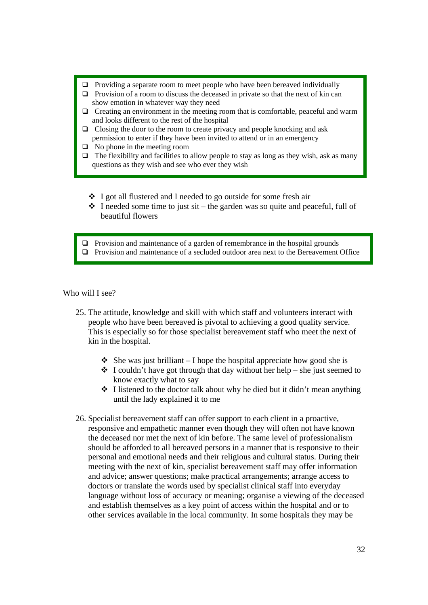- $\Box$  Providing a separate room to meet people who have been bereaved individually
- $\Box$  Provision of a room to discuss the deceased in private so that the next of kin can show emotion in whatever way they need
- $\Box$  Creating an environment in the meeting room that is comfortable, peaceful and warm and looks different to the rest of the hospital
- $\Box$  Closing the door to the room to create privacy and people knocking and ask permission to enter if they have been invited to attend or in an emergency
- $\Box$  No phone in the meeting room
- $\Box$  The flexibility and facilities to allow people to stay as long as they wish, ask as many questions as they wish and see who ever they wish
	- I got all flustered and I needed to go outside for some fresh air
	- $\cdot \cdot$  I needed some time to just sit the garden was so quite and peaceful, full of beautiful flowers
- $\Box$  Provision and maintenance of a garden of remembrance in the hospital grounds
- $\Box$  Provision and maintenance of a secluded outdoor area next to the Bereavement Office

#### Who will I see?

- 25. The attitude, knowledge and skill with which staff and volunteers interact with people who have been bereaved is pivotal to achieving a good quality service. This is especially so for those specialist bereavement staff who meet the next of kin in the hospital.
	- $\triangle$  She was just brilliant I hope the hospital appreciate how good she is
	- $\triangle$  I couldn't have got through that day without her help she just seemed to know exactly what to say
	- $\cdot \cdot$  I listened to the doctor talk about why he died but it didn't mean anything until the lady explained it to me
- 26. Specialist bereavement staff can offer support to each client in a proactive, responsive and empathetic manner even though they will often not have known the deceased nor met the next of kin before. The same level of professionalism should be afforded to all bereaved persons in a manner that is responsive to their personal and emotional needs and their religious and cultural status. During their meeting with the next of kin, specialist bereavement staff may offer information and advice; answer questions; make practical arrangements; arrange access to doctors or translate the words used by specialist clinical staff into everyday language without loss of accuracy or meaning; organise a viewing of the deceased and establish themselves as a key point of access within the hospital and or to other services available in the local community. In some hospitals they may be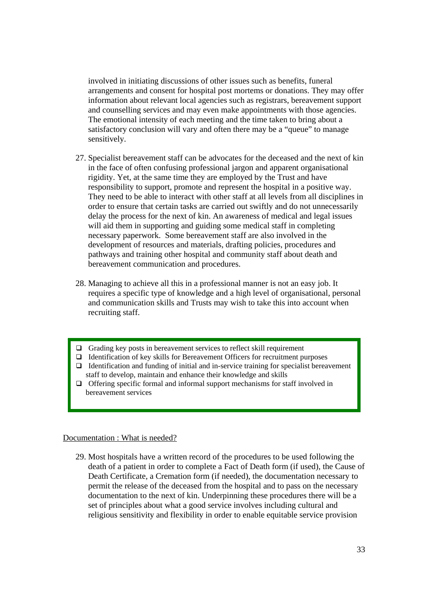involved in initiating discussions of other issues such as benefits, funeral arrangements and consent for hospital post mortems or donations. They may offer information about relevant local agencies such as registrars, bereavement support and counselling services and may even make appointments with those agencies. The emotional intensity of each meeting and the time taken to bring about a satisfactory conclusion will vary and often there may be a "queue" to manage sensitively.

- 27. Specialist bereavement staff can be advocates for the deceased and the next of kin in the face of often confusing professional jargon and apparent organisational rigidity. Yet, at the same time they are employed by the Trust and have responsibility to support, promote and represent the hospital in a positive way. They need to be able to interact with other staff at all levels from all disciplines in order to ensure that certain tasks are carried out swiftly and do not unnecessarily delay the process for the next of kin. An awareness of medical and legal issues will aid them in supporting and guiding some medical staff in completing necessary paperwork. Some bereavement staff are also involved in the development of resources and materials, drafting policies, procedures and pathways and training other hospital and community staff about death and bereavement communication and procedures.
- 28. Managing to achieve all this in a professional manner is not an easy job. It requires a specific type of knowledge and a high level of organisational, personal and communication skills and Trusts may wish to take this into account when recruiting staff.
- $\Box$  Grading key posts in bereavement services to reflect skill requirement
- $\Box$  Identification of key skills for Bereavement Officers for recruitment purposes
- $\Box$  Identification and funding of initial and in-service training for specialist bereavement staff to develop, maintain and enhance their knowledge and skills
- $\Box$  Offering specific formal and informal support mechanisms for staff involved in bereavement services

#### Documentation : What is needed?

29. Most hospitals have a written record of the procedures to be used following the death of a patient in order to complete a Fact of Death form (if used), the Cause of Death Certificate, a Cremation form (if needed), the documentation necessary to permit the release of the deceased from the hospital and to pass on the necessary documentation to the next of kin. Underpinning these procedures there will be a set of principles about what a good service involves including cultural and religious sensitivity and flexibility in order to enable equitable service provision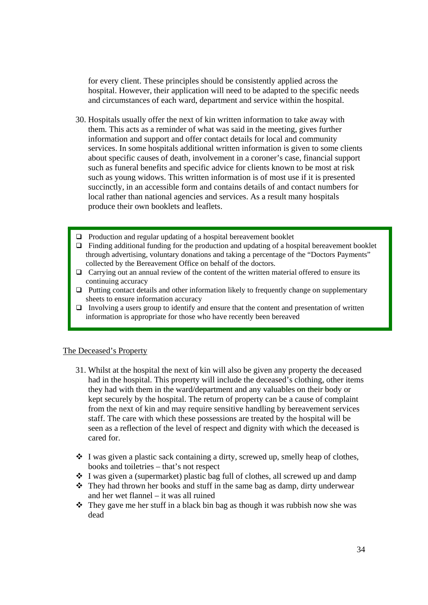for every client. These principles should be consistently applied across the hospital. However, their application will need to be adapted to the specific needs and circumstances of each ward, department and service within the hospital.

- 30. Hospitals usually offer the next of kin written information to take away with them. This acts as a reminder of what was said in the meeting, gives further information and support and offer contact details for local and community services. In some hospitals additional written information is given to some clients about specific causes of death, involvement in a coroner's case, financial support such as funeral benefits and specific advice for clients known to be most at risk such as young widows. This written information is of most use if it is presented succinctly, in an accessible form and contains details of and contact numbers for local rather than national agencies and services. As a result many hospitals produce their own booklets and leaflets.
- $\Box$  Production and regular updating of a hospital bereavement booklet
- $\Box$  Finding additional funding for the production and updating of a hospital bereavement booklet through advertising, voluntary donations and taking a percentage of the "Doctors Payments" collected by the Bereavement Office on behalf of the doctors.
- $\Box$  Carrying out an annual review of the content of the written material offered to ensure its continuing accuracy
- $\Box$  Putting contact details and other information likely to frequently change on supplementary sheets to ensure information accuracy
- Involving a users group to identify and ensure that the content and presentation of written information is appropriate for those who have recently been bereaved

#### The Deceased's Property

- 31. Whilst at the hospital the next of kin will also be given any property the deceased had in the hospital. This property will include the deceased's clothing, other items they had with them in the ward/department and any valuables on their body or kept securely by the hospital. The return of property can be a cause of complaint from the next of kin and may require sensitive handling by bereavement services staff. The care with which these possessions are treated by the hospital will be seen as a reflection of the level of respect and dignity with which the deceased is cared for.
- $\cdot \cdot$  I was given a plastic sack containing a dirty, screwed up, smelly heap of clothes, books and toiletries – that's not respect
- $\div$  I was given a (supermarket) plastic bag full of clothes, all screwed up and damp
- $\div$  They had thrown her books and stuff in the same bag as damp, dirty underwear and her wet flannel – it was all ruined
- They gave me her stuff in a black bin bag as though it was rubbish now she was dead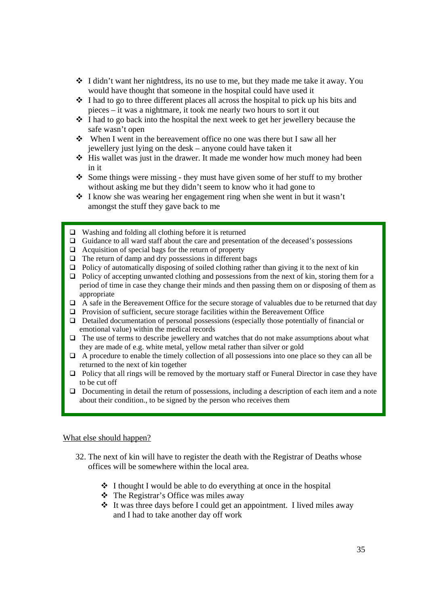- $\div$  I didn't want her nightdress, its no use to me, but they made me take it away. You would have thought that someone in the hospital could have used it
- $\cdot$  I had to go to three different places all across the hospital to pick up his bits and pieces – it was a nightmare, it took me nearly two hours to sort it out
- $\cdot$  I had to go back into the hospital the next week to get her jewellery because the safe wasn't open
- When I went in the bereavement office no one was there but I saw all her jewellery just lying on the desk – anyone could have taken it
- ◆ His wallet was just in the drawer. It made me wonder how much money had been in it
- $\triangle$  Some things were missing they must have given some of her stuff to my brother without asking me but they didn't seem to know who it had gone to
- I know she was wearing her engagement ring when she went in but it wasn't amongst the stuff they gave back to me
- $\Box$  Washing and folding all clothing before it is returned
- $\Box$  Guidance to all ward staff about the care and presentation of the deceased's possessions
- $\Box$  Acquisition of special bags for the return of property
- $\Box$  The return of damp and dry possessions in different bags
- $\Box$  Policy of automatically disposing of soiled clothing rather than giving it to the next of kin
- $\Box$  Policy of accepting unwanted clothing and possessions from the next of kin, storing them for a period of time in case they change their minds and then passing them on or disposing of them as appropriate
- $\Box$  A safe in the Bereavement Office for the secure storage of valuables due to be returned that day
- $\Box$  Provision of sufficient, secure storage facilities within the Bereavement Office
- $\Box$  Detailed documentation of personal possessions (especially those potentially of financial or emotional value) within the medical records
- $\Box$  The use of terms to describe jewellery and watches that do not make assumptions about what they are made of e.g. white metal, yellow metal rather than silver or gold
- $\Box$  A procedure to enable the timely collection of all possessions into one place so they can all be returned to the next of kin together
- $\Box$  Policy that all rings will be removed by the mortuary staff or Funeral Director in case they have to be cut off
- Documenting in detail the return of possessions, including a description of each item and a note about their condition., to be signed by the person who receives them

#### What else should happen?

- 32. The next of kin will have to register the death with the Registrar of Deaths whose offices will be somewhere within the local area.
	- $\triangle$  I thought I would be able to do everything at once in the hospital
	- The Registrar's Office was miles away
	- $\cdot \cdot$  It was three days before I could get an appointment. I lived miles away and I had to take another day off work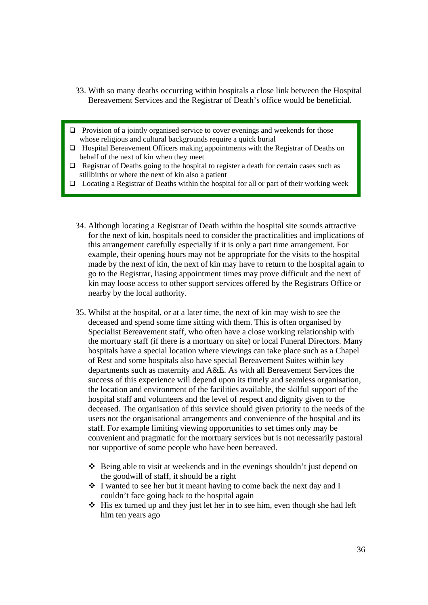- 33. With so many deaths occurring within hospitals a close link between the Hospital Bereavement Services and the Registrar of Death's office would be beneficial.
- $\Box$  Provision of a jointly organised service to cover evenings and weekends for those whose religious and cultural backgrounds require a quick burial
- Hospital Bereavement Officers making appointments with the Registrar of Deaths on behalf of the next of kin when they meet
- $\Box$  Registrar of Deaths going to the hospital to register a death for certain cases such as stillbirths or where the next of kin also a patient
- $\Box$  Locating a Registrar of Deaths within the hospital for all or part of their working week
	- 34. Although locating a Registrar of Death within the hospital site sounds attractive for the next of kin, hospitals need to consider the practicalities and implications of this arrangement carefully especially if it is only a part time arrangement. For example, their opening hours may not be appropriate for the visits to the hospital made by the next of kin, the next of kin may have to return to the hospital again to go to the Registrar, liasing appointment times may prove difficult and the next of kin may loose access to other support services offered by the Registrars Office or nearby by the local authority.
	- 35. Whilst at the hospital, or at a later time, the next of kin may wish to see the deceased and spend some time sitting with them. This is often organised by Specialist Bereavement staff, who often have a close working relationship with the mortuary staff (if there is a mortuary on site) or local Funeral Directors. Many hospitals have a special location where viewings can take place such as a Chapel of Rest and some hospitals also have special Bereavement Suites within key departments such as maternity and A&E. As with all Bereavement Services the success of this experience will depend upon its timely and seamless organisation, the location and environment of the facilities available, the skilful support of the hospital staff and volunteers and the level of respect and dignity given to the deceased. The organisation of this service should given priority to the needs of the users not the organisational arrangements and convenience of the hospital and its staff. For example limiting viewing opportunities to set times only may be convenient and pragmatic for the mortuary services but is not necessarily pastoral nor supportive of some people who have been bereaved.
		- $\triangle$  Being able to visit at weekends and in the evenings shouldn't just depend on the goodwill of staff, it should be a right
		- $\cdot \cdot$  I wanted to see her but it meant having to come back the next day and I couldn't face going back to the hospital again
		- $\triangleleft$  His ex turned up and they just let her in to see him, even though she had left him ten years ago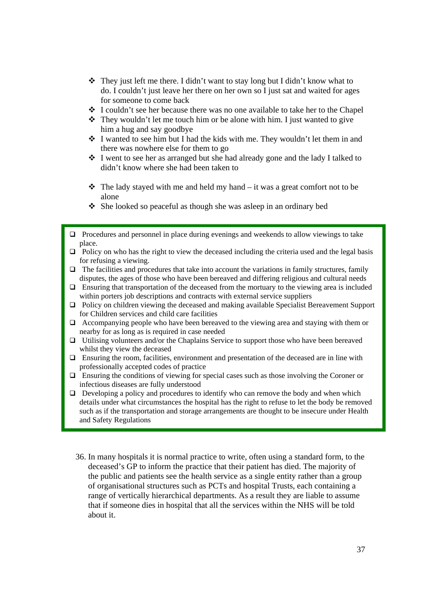- They just left me there. I didn't want to stay long but I didn't know what to do. I couldn't just leave her there on her own so I just sat and waited for ages for someone to come back
- $\div$  I couldn't see her because there was no one available to take her to the Chapel
- $\triangle$  They wouldn't let me touch him or be alone with him. I just wanted to give him a hug and say goodbye
- I wanted to see him but I had the kids with me. They wouldn't let them in and there was nowhere else for them to go
- I went to see her as arranged but she had already gone and the lady I talked to didn't know where she had been taken to
- $\mathbf{\hat{P}}$  The lady stayed with me and held my hand it was a great comfort not to be alone
- She looked so peaceful as though she was asleep in an ordinary bed
- $\Box$  Procedures and personnel in place during evenings and weekends to allow viewings to take place.
- $\Box$  Policy on who has the right to view the deceased including the criteria used and the legal basis for refusing a viewing.
- $\Box$  The facilities and procedures that take into account the variations in family structures, family disputes, the ages of those who have been bereaved and differing religious and cultural needs
- $\Box$  Ensuring that transportation of the deceased from the mortuary to the viewing area is included within porters job descriptions and contracts with external service suppliers
- Policy on children viewing the deceased and making available Specialist Bereavement Support for Children services and child care facilities
- $\Box$  Accompanying people who have been bereaved to the viewing area and staying with them or nearby for as long as is required in case needed
- $\Box$  Utilising volunteers and/or the Chaplains Service to support those who have been bereaved whilst they view the deceased
- $\Box$  Ensuring the room, facilities, environment and presentation of the deceased are in line with professionally accepted codes of practice
- Ensuring the conditions of viewing for special cases such as those involving the Coroner or infectious diseases are fully understood
- $\Box$  Developing a policy and procedures to identify who can remove the body and when which details under what circumstances the hospital has the right to refuse to let the body be removed such as if the transportation and storage arrangements are thought to be insecure under Health and Safety Regulations
	- 36. In many hospitals it is normal practice to write, often using a standard form, to the deceased's GP to inform the practice that their patient has died. The majority of the public and patients see the health service as a single entity rather than a group of organisational structures such as PCTs and hospital Trusts, each containing a range of vertically hierarchical departments. As a result they are liable to assume that if someone dies in hospital that all the services within the NHS will be told about it.